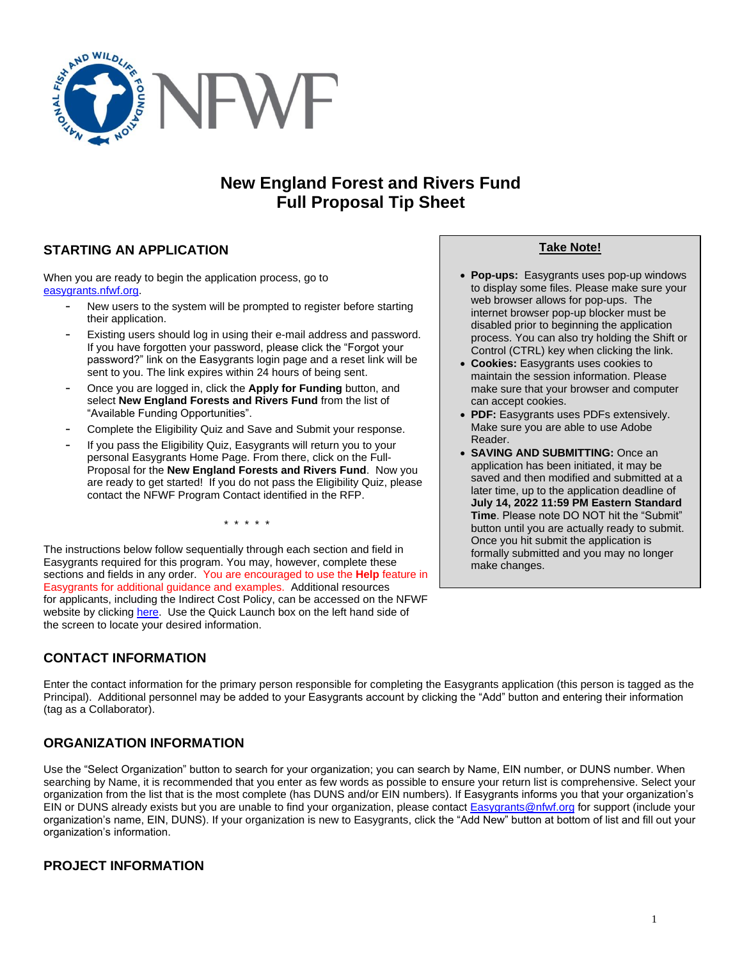

# **New England Forest and Rivers Fund Full Proposal Tip Sheet**

## **STARTING AN APPLICATION**

When you are ready to begin the application process, go to [easygrants.nfwf.org.](https://easygrants.nfwf.org/)

- New users to the system will be prompted to register before starting their application.
- Existing users should log in using their e-mail address and password. If you have forgotten your password, please click the "Forgot your password?" link on the Easygrants login page and a reset link will be sent to you. The link expires within 24 hours of being sent.
- Once you are logged in, click the **Apply for Funding** button, and select **New England Forests and Rivers Fund** from the list of "Available Funding Opportunities".
- Complete the Eligibility Quiz and Save and Submit your response.
- If you pass the Eligibility Quiz, Easygrants will return you to your personal Easygrants Home Page. From there, click on the Full-Proposal for the **New England Forests and Rivers Fund**. Now you are ready to get started! If you do not pass the Eligibility Quiz, please contact the NFWF Program Contact identified in the RFP.

\* \* \* \* \*

The instructions below follow sequentially through each section and field in Easygrants required for this program. You may, however, complete these sections and fields in any order. You are encouraged to use the **Help** feature in Easygrants for additional guidance and examples. Additional resources for applicants, including the Indirect Cost Policy, can be accessed on the NFWF website by clicking [here.](http://www.nfwf.org/whatwedo/grants/applicants/Pages/home.aspx) Use the Quick Launch box on the left hand side of the screen to locate your desired information.

## **CONTACT INFORMATION**

Enter the contact information for the primary person responsible for completing the Easygrants application (this person is tagged as the Principal). Additional personnel may be added to your Easygrants account by clicking the "Add" button and entering their information (tag as a Collaborator).

## **ORGANIZATION INFORMATION**

Use the "Select Organization" button to search for your organization; you can search by Name, EIN number, or DUNS number. When searching by Name, it is recommended that you enter as few words as possible to ensure your return list is comprehensive. Select your organization from the list that is the most complete (has DUNS and/or EIN numbers). If Easygrants informs you that your organization's EIN or DUNS already exists but you are unable to find your organization, please contact **Easygrants@nfwf.org** for support (include your organization's name, EIN, DUNS). If your organization is new to Easygrants, click the "Add New" button at bottom of list and fill out your organization's information.

## **PROJECT INFORMATION**

### **Take Note!**

- **Pop-ups:** Easygrants uses pop-up windows to display some files. Please make sure your web browser allows for pop-ups. The internet browser pop-up blocker must be disabled prior to beginning the application process. You can also try holding the Shift or Control (CTRL) key when clicking the link.
- **Cookies:** Easygrants uses cookies to maintain the session information. Please make sure that your browser and computer can accept cookies.
- **PDF:** Easygrants uses PDFs extensively. Make sure you are able to use Adobe Reader.
- **SAVING AND SUBMITTING:** Once an application has been initiated, it may be saved and then modified and submitted at a later time, up to the application deadline of **July 14, 2022 11:59 PM Eastern Standard Time**. Please note DO NOT hit the "Submit" button until you are actually ready to submit. Once you hit submit the application is formally submitted and you may no longer make changes.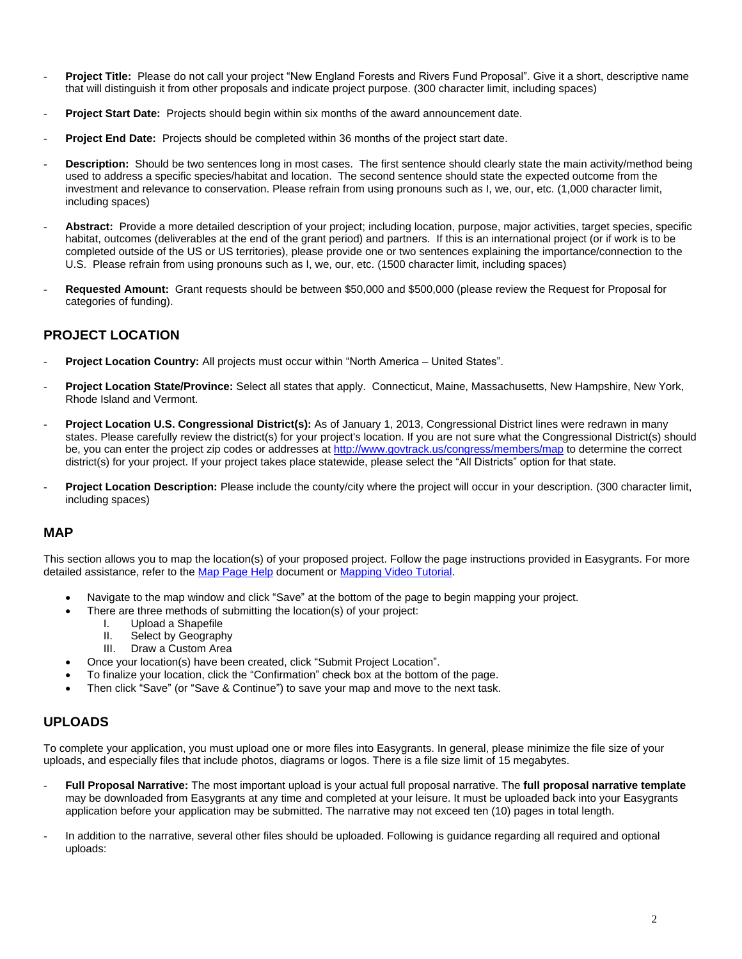- Project Title: Please do not call your project "New England Forests and Rivers Fund Proposal". Give it a short, descriptive name that will distinguish it from other proposals and indicate project purpose. (300 character limit, including spaces)
- Proiect Start Date: Projects should begin within six months of the award announcement date.
- **Project End Date:** Projects should be completed within 36 months of the project start date.
- **Description:** Should be two sentences long in most cases. The first sentence should clearly state the main activity/method being used to address a specific species/habitat and location. The second sentence should state the expected outcome from the investment and relevance to conservation. Please refrain from using pronouns such as I, we, our, etc. (1,000 character limit, including spaces)
- Abstract: Provide a more detailed description of your project; including location, purpose, major activities, target species, specific habitat, outcomes (deliverables at the end of the grant period) and partners. If this is an international project (or if work is to be completed outside of the US or US territories), please provide one or two sentences explaining the importance/connection to the U.S.Please refrain from using pronouns such as I, we, our, etc. (1500 character limit, including spaces)
- **Requested Amount:** Grant requests should be between \$50,000 and \$500,000 (please review the Request for Proposal for categories of funding).

### **PROJECT LOCATION**

- **Project Location Country:** All projects must occur within "North America United States".
- **Project Location State/Province:** Select all states that apply. Connecticut, Maine, Massachusetts, New Hampshire, New York, Rhode Island and Vermont.
- **Project Location U.S. Congressional District(s):** As of January 1, 2013, Congressional District lines were redrawn in many states. Please carefully review the district(s) for your project's location. If you are not sure what the Congressional District(s) should be, you can enter the project zip codes or addresse[s at](http://www.govtrack.us/congress/members/map) <http://www.govtrack.us/congress/members/map> to determine the correct district(s) for your project. If your project takes place statewide, please select the "All Districts" option for that state.
- Project Location Description: Please include the county/city where the project will occur in your description. (300 character limit, including spaces)

### **MAP**

This section allows you to map the location(s) of your proposed project. Follow the page instructions provided in Easygrants. For more detailed assistance, refer to th[e Map Page Help](http://www.nfwf.org/whatwedo/grants/Documents/HelpFile.Proposal.Map.pdf) document o[r Mapping Video Tutorial.](http://www.nfwf.org/whatwedo/grants/applicants/Pages/mapping-tool.aspx#.VfH2mpd1b70)

- Navigate to the map window and click "Save" at the bottom of the page to begin mapping your project.
	- There are three methods of submitting the location(s) of your project:
		- I. Upload a Shapefile
		- II. Select by Geography
		- III. Draw a Custom Area
	- Once your location(s) have been created, click "Submit Project Location".
	- To finalize your location, click the "Confirmation" check box at the bottom of the page.
- Then click "Save" (or "Save & Continue") to save your map and move to the next task.

### **UPLOADS**

To complete your application, you must upload one or more files into Easygrants. In general, please minimize the file size of your uploads, and especially files that include photos, diagrams or logos. There is a file size limit of 15 megabytes.

- **Full Proposal Narrative:** The most important upload is your actual full proposal narrative. The **full proposal narrative template** may be downloaded from Easygrants at any time and completed at your leisure. It must be uploaded back into your Easygrants application before your application may be submitted. The narrative may not exceed ten (10) pages in total length.
- In addition to the narrative, several other files should be uploaded. Following is guidance regarding all required and optional uploads: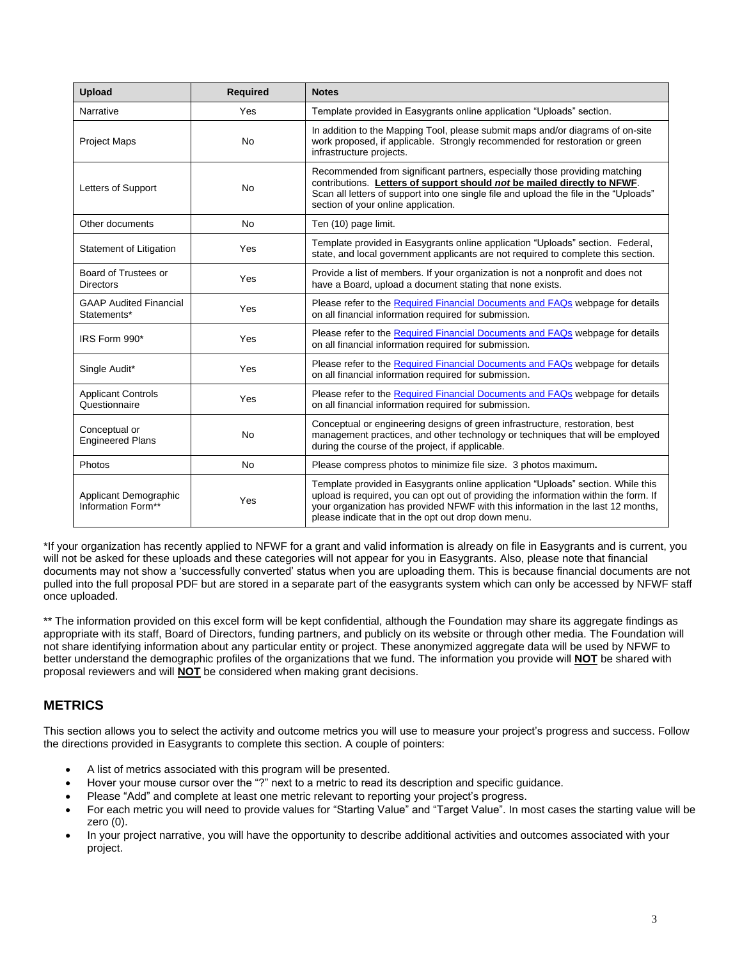| <b>Upload</b>                                | <b>Required</b> | <b>Notes</b>                                                                                                                                                                                                                                                                                                        |
|----------------------------------------------|-----------------|---------------------------------------------------------------------------------------------------------------------------------------------------------------------------------------------------------------------------------------------------------------------------------------------------------------------|
| Narrative                                    | Yes             | Template provided in Easygrants online application "Uploads" section.                                                                                                                                                                                                                                               |
| <b>Project Maps</b>                          | <b>No</b>       | In addition to the Mapping Tool, please submit maps and/or diagrams of on-site<br>work proposed, if applicable. Strongly recommended for restoration or green<br>infrastructure projects.                                                                                                                           |
| Letters of Support                           | <b>No</b>       | Recommended from significant partners, especially those providing matching<br>contributions. Letters of support should not be mailed directly to NFWF.<br>Scan all letters of support into one single file and upload the file in the "Uploads"<br>section of your online application.                              |
| Other documents                              | <b>No</b>       | Ten (10) page limit.                                                                                                                                                                                                                                                                                                |
| Statement of Litigation                      | Yes             | Template provided in Easygrants online application "Uploads" section. Federal,<br>state, and local government applicants are not required to complete this section.                                                                                                                                                 |
| Board of Trustees or<br><b>Directors</b>     | Yes             | Provide a list of members. If your organization is not a nonprofit and does not<br>have a Board, upload a document stating that none exists.                                                                                                                                                                        |
| <b>GAAP Audited Financial</b><br>Statements* | Yes             | Please refer to the Required Financial Documents and FAQs webpage for details<br>on all financial information required for submission.                                                                                                                                                                              |
| IRS Form 990*                                | Yes             | Please refer to the Required Financial Documents and FAQs webpage for details<br>on all financial information required for submission.                                                                                                                                                                              |
| Single Audit*                                | Yes             | Please refer to the Required Financial Documents and FAQs webpage for details<br>on all financial information required for submission.                                                                                                                                                                              |
| <b>Applicant Controls</b><br>Questionnaire   | Yes             | Please refer to the Required Financial Documents and FAQs webpage for details<br>on all financial information required for submission.                                                                                                                                                                              |
| Conceptual or<br><b>Engineered Plans</b>     | <b>No</b>       | Conceptual or engineering designs of green infrastructure, restoration, best<br>management practices, and other technology or techniques that will be employed<br>during the course of the project, if applicable.                                                                                                  |
| Photos                                       | No              | Please compress photos to minimize file size. 3 photos maximum.                                                                                                                                                                                                                                                     |
| Applicant Demographic<br>Information Form**  | Yes             | Template provided in Easygrants online application "Uploads" section. While this<br>upload is required, you can opt out of providing the information within the form. If<br>your organization has provided NFWF with this information in the last 12 months,<br>please indicate that in the opt out drop down menu. |

\*If your organization has recently applied to NFWF for a grant and valid information is already on file in Easygrants and is current, you will not be asked for these uploads and these categories will not appear for you in Easygrants. Also, please note that financial documents may not show a 'successfully converted' status when you are uploading them. This is because financial documents are not pulled into the full proposal PDF but are stored in a separate part of the easygrants system which can only be accessed by NFWF staff once uploaded.

\*\* The information provided on this excel form will be kept confidential, although the Foundation may share its aggregate findings as appropriate with its staff, Board of Directors, funding partners, and publicly on its website or through other media. The Foundation will not share identifying information about any particular entity or project. These anonymized aggregate data will be used by NFWF to better understand the demographic profiles of the organizations that we fund. The information you provide will **NOT** be shared with proposal reviewers and will **NOT** be considered when making grant decisions.

## **METRICS**

This section allows you to select the activity and outcome metrics you will use to measure your project's progress and success. Follow the directions provided in Easygrants to complete this section. A couple of pointers:

- A list of metrics associated with this program will be presented.
- Hover your mouse cursor over the "?" next to a metric to read its description and specific guidance.
- Please "Add" and complete at least one metric relevant to reporting your project's progress.
- For each metric you will need to provide values for "Starting Value" and "Target Value". In most cases the starting value will be zero (0).
- In your project narrative, you will have the opportunity to describe additional activities and outcomes associated with your project.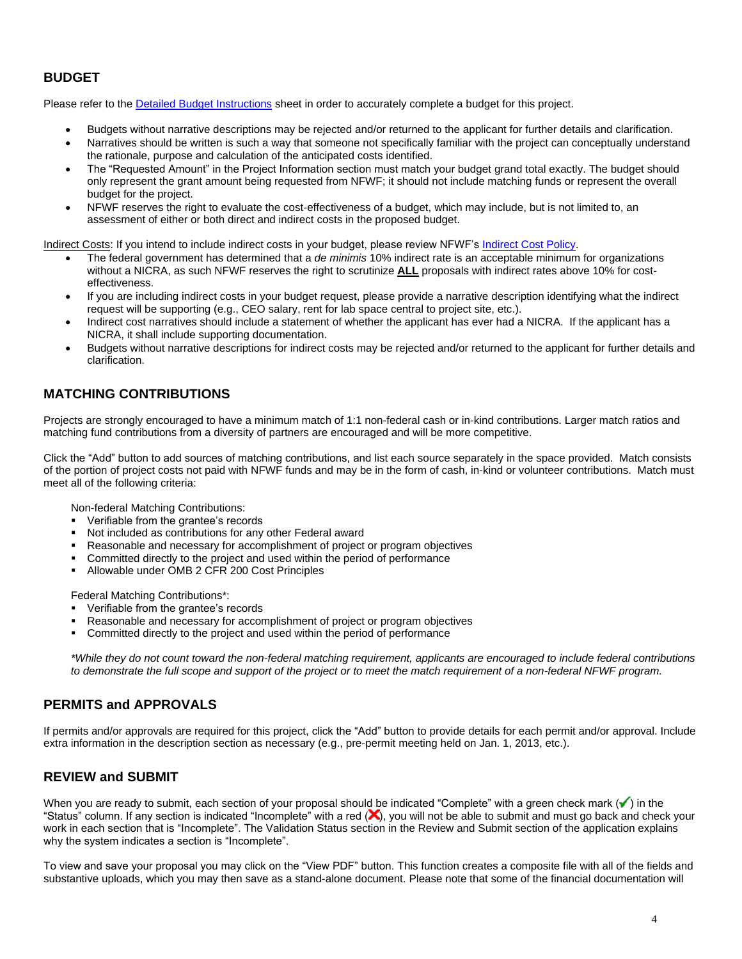## **BUDGET**

Please refer to the [Detailed Budget Instructions](http://www.nfwf.org/whatwedo/grants/applicants/Pages/budget-instructions.aspx) sheet in order to accurately complete a budget for this project.

- Budgets without narrative descriptions may be rejected and/or returned to the applicant for further details and clarification.
- Narratives should be written is such a way that someone not specifically familiar with the project can conceptually understand the rationale, purpose and calculation of the anticipated costs identified.
- The "Requested Amount" in the Project Information section must match your budget grand total exactly. The budget should only represent the grant amount being requested from NFWF; it should not include matching funds or represent the overall budget for the project.
- NFWF reserves the right to evaluate the cost-effectiveness of a budget, which may include, but is not limited to, an assessment of either or both direct and indirect costs in the proposed budget.

Indirect Costs: If you intend to include indirect costs in your budget, please review NFWF's [Indirect Cost Policy.](http://www.nfwf.org/whatwedo/grants/applicants/Pages/indirect-policy.aspx)

- The federal government has determined that a *de minimis* 10% indirect rate is an acceptable minimum for organizations without a NICRA, as such NFWF reserves the right to scrutinize **ALL** proposals with indirect rates above 10% for costeffectiveness.
- If you are including indirect costs in your budget request, please provide a narrative description identifying what the indirect request will be supporting (e.g., CEO salary, rent for lab space central to project site, etc.).
- Indirect cost narratives should include a statement of whether the applicant has ever had a NICRA. If the applicant has a NICRA, it shall include supporting documentation.
- Budgets without narrative descriptions for indirect costs may be rejected and/or returned to the applicant for further details and clarification.

## **MATCHING CONTRIBUTIONS**

Projects are strongly encouraged to have a minimum match of 1:1 non-federal cash or in-kind contributions. Larger match ratios and matching fund contributions from a diversity of partners are encouraged and will be more competitive.

Click the "Add" button to add sources of matching contributions, and list each source separately in the space provided. Match consists of the portion of project costs not paid with NFWF funds and may be in the form of cash, in-kind or volunteer contributions. Match must meet all of the following criteria:

Non-federal Matching Contributions:

- Verifiable from the grantee's records
- Not included as contributions for any other Federal award
- Reasonable and necessary for accomplishment of project or program objectives
- Committed directly to the project and used within the period of performance
- Allowable under OMB 2 CFR 200 Cost Principles

Federal Matching Contributions\*:

- Verifiable from the grantee's records
- Reasonable and necessary for accomplishment of project or program objectives
- Committed directly to the project and used within the period of performance

*\*While they do not count toward the non-federal matching requirement, applicants are encouraged to include federal contributions to demonstrate the full scope and support of the project or to meet the match requirement of a non-federal NFWF program.*

### **PERMITS and APPROVALS**

If permits and/or approvals are required for this project, click the "Add" button to provide details for each permit and/or approval. Include extra information in the description section as necessary (e.g., pre-permit meeting held on Jan. 1, 2013, etc.).

### **REVIEW and SUBMIT**

When you are ready to submit, each section of your proposal should be indicated "Complete" with a green check mark  $(\checkmark)$  in the "Status" column. If any section is indicated "Incomplete" with a red (X), you will not be able to submit and must go back and check your work in each section that is "Incomplete". The Validation Status section in the Review and Submit section of the application explains why the system indicates a section is "Incomplete".

To view and save your proposal you may click on the "View PDF" button. This function creates a composite file with all of the fields and substantive uploads, which you may then save as a stand-alone document. Please note that some of the financial documentation will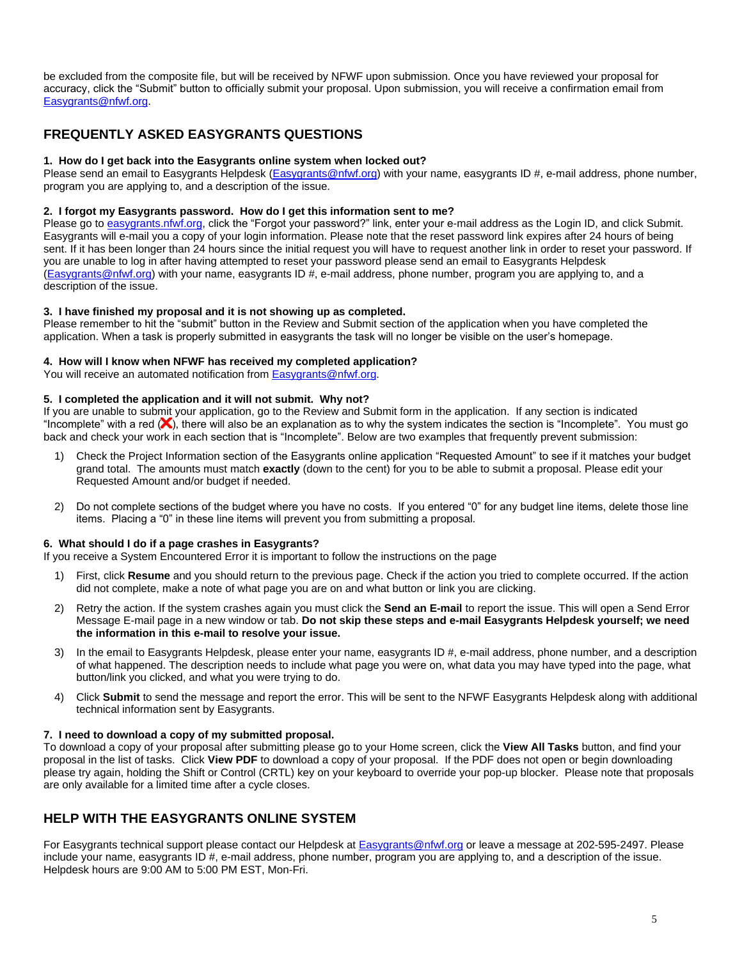be excluded from the composite file, but will be received by NFWF upon submission. Once you have reviewed your proposal for accuracy, click the "Submit" button to officially submit your proposal. Upon submission, you will receive a confirmation email from [Easygrants@nfwf.org.](mailto:Easygrants@nfwf.org)

## **FREQUENTLY ASKED EASYGRANTS QUESTIONS**

#### **1. How do I get back into the Easygrants online system when locked out?**

Please send an email to Easygrants Helpdesk [\(Easygrants@nfwf.org\)](mailto:Easygrants@nfwf.org) with your name, easygrants ID #, e-mail address, phone number, program you are applying to, and a description of the issue.

#### **2. I forgot my Easygrants password. How do I get this information sent to me?**

Please go to [easygrants.nfwf.org,](https://easygrants.nfwf.org/) click the "Forgot your password?" link, enter your e-mail address as the Login ID, and click Submit. Easygrants will e-mail you a copy of your login information. Please note that the reset password link expires after 24 hours of being sent. If it has been longer than 24 hours since the initial request you will have to request another link in order to reset your password. If you are unable to log in after having attempted to reset your password please send an email to Easygrants Helpdesk [\(Easygrants@nfwf.org\)](mailto:Easygrants@nfwf.org) with your name, easygrants ID #, e-mail address, phone number, program you are applying to, and a description of the issue.

#### **3. I have finished my proposal and it is not showing up as completed.**

Please remember to hit the "submit" button in the Review and Submit section of the application when you have completed the application. When a task is properly submitted in easygrants the task will no longer be visible on the user's homepage.

#### **4. How will I know when NFWF has received my completed application?**

You will receive an automated notification fro[m Easygrants@nfwf.org.](mailto:Easygrants@nfwf.org)

#### **5. I completed the application and it will not submit. Why not?**

If you are unable to submit your application, go to the Review and Submit form in the application.If any section is indicated "Incomplete" with a red  $(X)$ , there will also be an explanation as to why the system indicates the section is "Incomplete". You must go back and check your work in each section that is "Incomplete". Below are two examples that frequently prevent submission:

- 1) Check the Project Information section of the Easygrants online application "Requested Amount" to see if it matches your budget grand total. The amounts must match **exactly** (down to the cent) for you to be able to submit a proposal. Please edit your Requested Amount and/or budget if needed.
- 2) Do not complete sections of the budget where you have no costs. If you entered "0" for any budget line items, delete those line items. Placing a "0" in these line items will prevent you from submitting a proposal.

#### **6. What should I do if a page crashes in Easygrants?**

If you receive a System Encountered Error it is important to follow the instructions on the page

- 1) First, click **Resume** and you should return to the previous page. Check if the action you tried to complete occurred. If the action did not complete, make a note of what page you are on and what button or link you are clicking.
- 2) Retry the action. If the system crashes again you must click the **Send an E-mail** to report the issue. This will open a Send Error Message E-mail page in a new window or tab. **Do not skip these steps and e-mail Easygrants Helpdesk yourself; we need the information in this e-mail to resolve your issue.**
- 3) In the email to Easygrants Helpdesk, please enter your name, easygrants ID #, e-mail address, phone number, and a description of what happened. The description needs to include what page you were on, what data you may have typed into the page, what button/link you clicked, and what you were trying to do.
- 4) Click **Submit** to send the message and report the error. This will be sent to the NFWF Easygrants Helpdesk along with additional technical information sent by Easygrants.

### **7. I need to download a copy of my submitted proposal.**

To download a copy of your proposal after submitting please go to your Home screen, click the **View All Tasks** button, and find your proposal in the list of tasks. Click **View PDF** to download a copy of your proposal. If the PDF does not open or begin downloading please try again, holding the Shift or Control (CRTL) key on your keyboard to override your pop-up blocker. Please note that proposals are only available for a limited time after a cycle closes.

## **HELP WITH THE EASYGRANTS ONLINE SYSTEM**

For Easygrants technical support please contact our Helpdesk at [Easygrants@nfwf.org](mailto:Easygrants@nfwf.org) or leave a message at 202-595-2497. Please include your name, easygrants ID #, e-mail address, phone number, program you are applying to, and a description of the issue. Helpdesk hours are 9:00 AM to 5:00 PM EST, Mon-Fri.